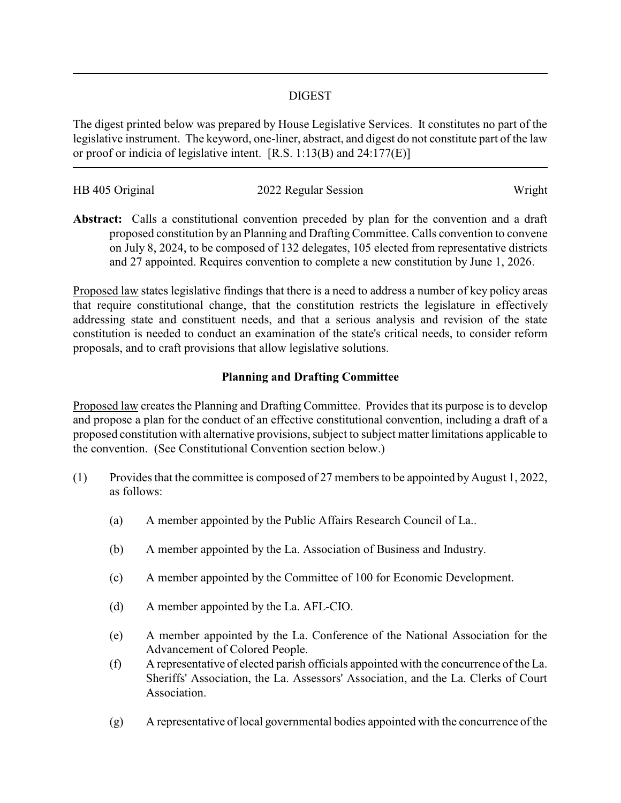## DIGEST

The digest printed below was prepared by House Legislative Services. It constitutes no part of the legislative instrument. The keyword, one-liner, abstract, and digest do not constitute part of the law or proof or indicia of legislative intent. [R.S. 1:13(B) and 24:177(E)]

| HB 405 Original | 2022 Regular Session | Wright |
|-----------------|----------------------|--------|

**Abstract:** Calls a constitutional convention preceded by plan for the convention and a draft proposed constitution by an Planning and Drafting Committee. Calls convention to convene on July 8, 2024, to be composed of 132 delegates, 105 elected from representative districts and 27 appointed. Requires convention to complete a new constitution by June 1, 2026.

Proposed law states legislative findings that there is a need to address a number of key policy areas that require constitutional change, that the constitution restricts the legislature in effectively addressing state and constituent needs, and that a serious analysis and revision of the state constitution is needed to conduct an examination of the state's critical needs, to consider reform proposals, and to craft provisions that allow legislative solutions.

# **Planning and Drafting Committee**

Proposed law creates the Planning and Drafting Committee. Provides that its purpose is to develop and propose a plan for the conduct of an effective constitutional convention, including a draft of a proposed constitution with alternative provisions, subject to subject matter limitations applicable to the convention. (See Constitutional Convention section below.)

- (1) Provides that the committee is composed of 27 members to be appointed by August 1, 2022, as follows:
	- (a) A member appointed by the Public Affairs Research Council of La..
	- (b) A member appointed by the La. Association of Business and Industry.
	- (c) A member appointed by the Committee of 100 for Economic Development.
	- (d) A member appointed by the La. AFL-CIO.
	- (e) A member appointed by the La. Conference of the National Association for the Advancement of Colored People.
	- (f) A representative of elected parish officials appointed with the concurrence of the La. Sheriffs' Association, the La. Assessors' Association, and the La. Clerks of Court Association.
	- (g) A representative of local governmental bodies appointed with the concurrence of the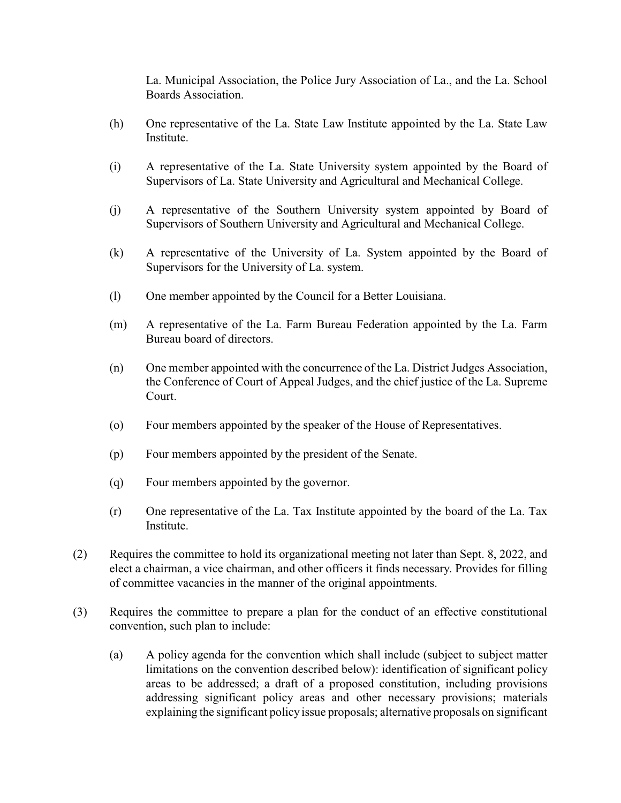La. Municipal Association, the Police Jury Association of La., and the La. School Boards Association.

- (h) One representative of the La. State Law Institute appointed by the La. State Law Institute.
- (i) A representative of the La. State University system appointed by the Board of Supervisors of La. State University and Agricultural and Mechanical College.
- (j) A representative of the Southern University system appointed by Board of Supervisors of Southern University and Agricultural and Mechanical College.
- (k) A representative of the University of La. System appointed by the Board of Supervisors for the University of La. system.
- (l) One member appointed by the Council for a Better Louisiana.
- (m) A representative of the La. Farm Bureau Federation appointed by the La. Farm Bureau board of directors.
- (n) One member appointed with the concurrence of the La. District Judges Association, the Conference of Court of Appeal Judges, and the chief justice of the La. Supreme Court.
- (o) Four members appointed by the speaker of the House of Representatives.
- (p) Four members appointed by the president of the Senate.
- (q) Four members appointed by the governor.
- (r) One representative of the La. Tax Institute appointed by the board of the La. Tax Institute.
- (2) Requires the committee to hold its organizational meeting not later than Sept. 8, 2022, and elect a chairman, a vice chairman, and other officers it finds necessary. Provides for filling of committee vacancies in the manner of the original appointments.
- (3) Requires the committee to prepare a plan for the conduct of an effective constitutional convention, such plan to include:
	- (a) A policy agenda for the convention which shall include (subject to subject matter limitations on the convention described below): identification of significant policy areas to be addressed; a draft of a proposed constitution, including provisions addressing significant policy areas and other necessary provisions; materials explaining the significant policyissue proposals; alternative proposals on significant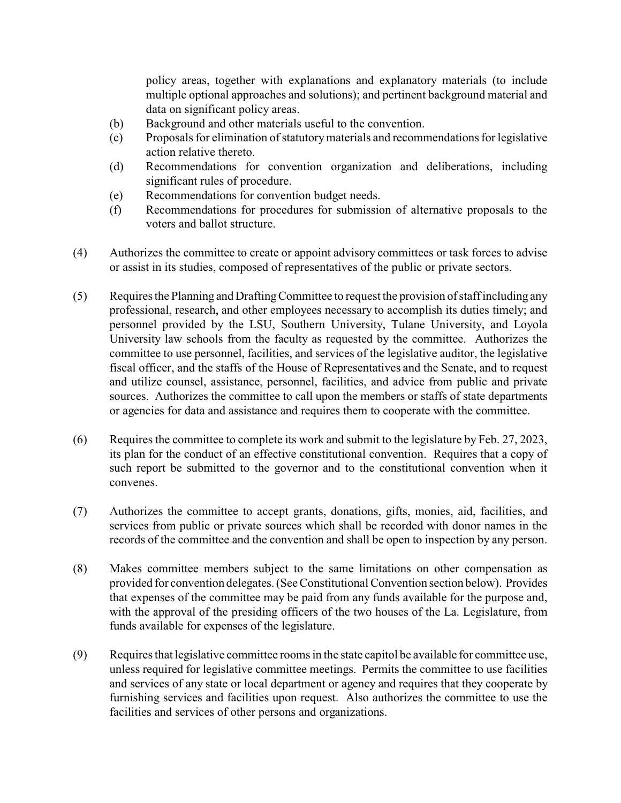policy areas, together with explanations and explanatory materials (to include multiple optional approaches and solutions); and pertinent background material and data on significant policy areas.

- (b) Background and other materials useful to the convention.
- (c) Proposals for elimination of statutorymaterials and recommendations for legislative action relative thereto.
- (d) Recommendations for convention organization and deliberations, including significant rules of procedure.
- (e) Recommendations for convention budget needs.
- (f) Recommendations for procedures for submission of alternative proposals to the voters and ballot structure.
- (4) Authorizes the committee to create or appoint advisory committees or task forces to advise or assist in its studies, composed of representatives of the public or private sectors.
- (5) Requires the Planning and DraftingCommittee to request the provision of staff including any professional, research, and other employees necessary to accomplish its duties timely; and personnel provided by the LSU, Southern University, Tulane University, and Loyola University law schools from the faculty as requested by the committee. Authorizes the committee to use personnel, facilities, and services of the legislative auditor, the legislative fiscal officer, and the staffs of the House of Representatives and the Senate, and to request and utilize counsel, assistance, personnel, facilities, and advice from public and private sources. Authorizes the committee to call upon the members or staffs of state departments or agencies for data and assistance and requires them to cooperate with the committee.
- (6) Requires the committee to complete its work and submit to the legislature by Feb. 27, 2023, its plan for the conduct of an effective constitutional convention. Requires that a copy of such report be submitted to the governor and to the constitutional convention when it convenes.
- (7) Authorizes the committee to accept grants, donations, gifts, monies, aid, facilities, and services from public or private sources which shall be recorded with donor names in the records of the committee and the convention and shall be open to inspection by any person.
- (8) Makes committee members subject to the same limitations on other compensation as provided for convention delegates. (See Constitutional Convention section below). Provides that expenses of the committee may be paid from any funds available for the purpose and, with the approval of the presiding officers of the two houses of the La. Legislature, from funds available for expenses of the legislature.
- (9) Requires that legislative committee rooms in the state capitol be available for committee use, unless required for legislative committee meetings. Permits the committee to use facilities and services of any state or local department or agency and requires that they cooperate by furnishing services and facilities upon request. Also authorizes the committee to use the facilities and services of other persons and organizations.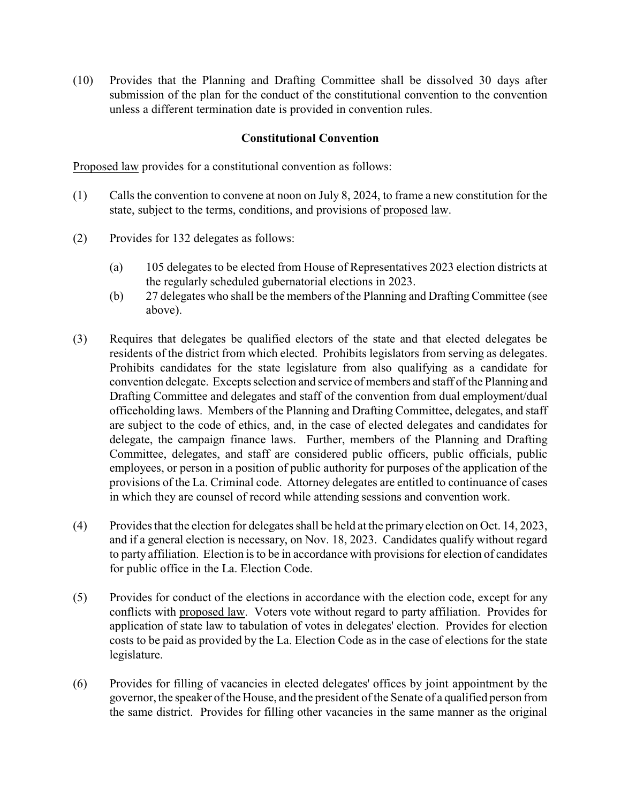(10) Provides that the Planning and Drafting Committee shall be dissolved 30 days after submission of the plan for the conduct of the constitutional convention to the convention unless a different termination date is provided in convention rules.

## **Constitutional Convention**

Proposed law provides for a constitutional convention as follows:

- (1) Calls the convention to convene at noon on July 8, 2024, to frame a new constitution for the state, subject to the terms, conditions, and provisions of proposed law.
- (2) Provides for 132 delegates as follows:
	- (a) 105 delegates to be elected from House of Representatives 2023 election districts at the regularly scheduled gubernatorial elections in 2023.
	- (b) 27 delegates who shall be the members of the Planning and DraftingCommittee (see above).
- (3) Requires that delegates be qualified electors of the state and that elected delegates be residents of the district from which elected. Prohibits legislators from serving as delegates. Prohibits candidates for the state legislature from also qualifying as a candidate for convention delegate. Excepts selection and service of members and staff of the Planning and Drafting Committee and delegates and staff of the convention from dual employment/dual officeholding laws. Members of the Planning and Drafting Committee, delegates, and staff are subject to the code of ethics, and, in the case of elected delegates and candidates for delegate, the campaign finance laws. Further, members of the Planning and Drafting Committee, delegates, and staff are considered public officers, public officials, public employees, or person in a position of public authority for purposes of the application of the provisions of the La. Criminal code. Attorney delegates are entitled to continuance of cases in which they are counsel of record while attending sessions and convention work.
- (4) Provides that the election for delegates shall be held at the primary election on Oct. 14, 2023, and if a general election is necessary, on Nov. 18, 2023. Candidates qualify without regard to party affiliation. Election is to be in accordance with provisions for election of candidates for public office in the La. Election Code.
- (5) Provides for conduct of the elections in accordance with the election code, except for any conflicts with proposed law. Voters vote without regard to party affiliation. Provides for application of state law to tabulation of votes in delegates' election. Provides for election costs to be paid as provided by the La. Election Code as in the case of elections for the state legislature.
- (6) Provides for filling of vacancies in elected delegates' offices by joint appointment by the governor, the speaker of the House, and the president of the Senate of a qualified person from the same district. Provides for filling other vacancies in the same manner as the original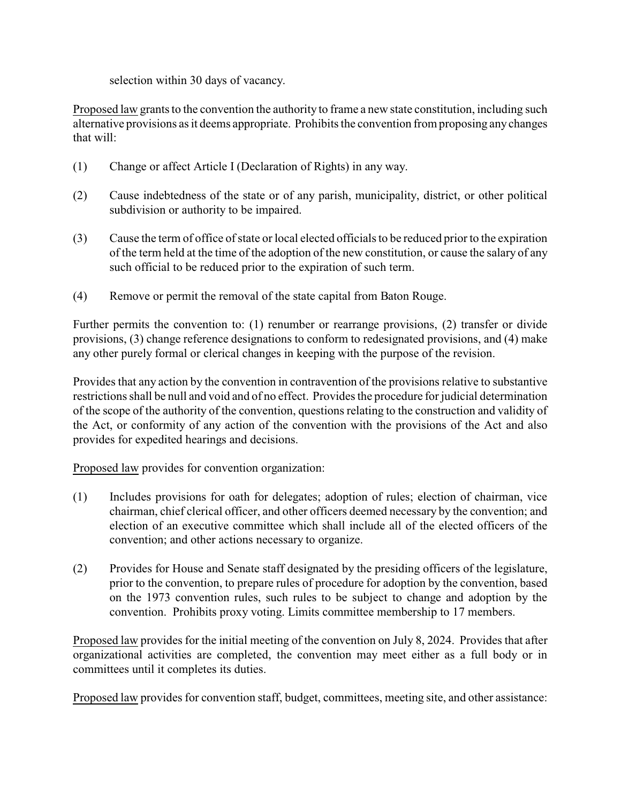selection within 30 days of vacancy.

Proposed law grants to the convention the authority to frame a new state constitution, including such alternative provisions as it deems appropriate. Prohibits the convention from proposing any changes that will:

- (1) Change or affect Article I (Declaration of Rights) in any way.
- (2) Cause indebtedness of the state or of any parish, municipality, district, or other political subdivision or authority to be impaired.
- (3) Cause the term of office of state or local elected officials to be reduced prior to the expiration of the term held at the time of the adoption of the new constitution, or cause the salary of any such official to be reduced prior to the expiration of such term.
- (4) Remove or permit the removal of the state capital from Baton Rouge.

Further permits the convention to: (1) renumber or rearrange provisions, (2) transfer or divide provisions, (3) change reference designations to conform to redesignated provisions, and (4) make any other purely formal or clerical changes in keeping with the purpose of the revision.

Provides that any action by the convention in contravention of the provisions relative to substantive restrictions shall be null and void and of no effect. Provides the procedure for judicial determination of the scope of the authority of the convention, questions relating to the construction and validity of the Act, or conformity of any action of the convention with the provisions of the Act and also provides for expedited hearings and decisions.

Proposed law provides for convention organization:

- (1) Includes provisions for oath for delegates; adoption of rules; election of chairman, vice chairman, chief clerical officer, and other officers deemed necessary by the convention; and election of an executive committee which shall include all of the elected officers of the convention; and other actions necessary to organize.
- (2) Provides for House and Senate staff designated by the presiding officers of the legislature, prior to the convention, to prepare rules of procedure for adoption by the convention, based on the 1973 convention rules, such rules to be subject to change and adoption by the convention. Prohibits proxy voting. Limits committee membership to 17 members.

Proposed law provides for the initial meeting of the convention on July 8, 2024. Provides that after organizational activities are completed, the convention may meet either as a full body or in committees until it completes its duties.

Proposed law provides for convention staff, budget, committees, meeting site, and other assistance: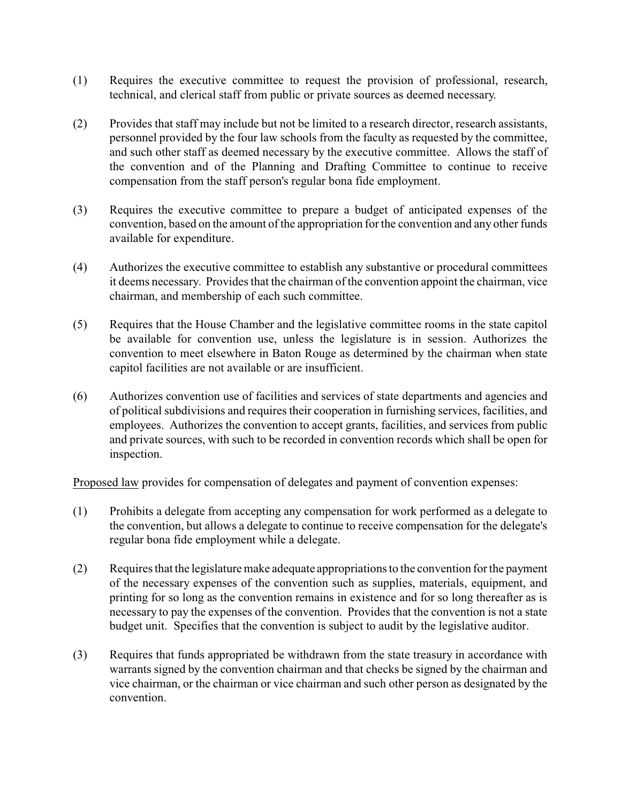- (1) Requires the executive committee to request the provision of professional, research, technical, and clerical staff from public or private sources as deemed necessary.
- (2) Provides that staff may include but not be limited to a research director, research assistants, personnel provided by the four law schools from the faculty as requested by the committee, and such other staff as deemed necessary by the executive committee. Allows the staff of the convention and of the Planning and Drafting Committee to continue to receive compensation from the staff person's regular bona fide employment.
- (3) Requires the executive committee to prepare a budget of anticipated expenses of the convention, based on the amount of the appropriation for the convention and any other funds available for expenditure.
- (4) Authorizes the executive committee to establish any substantive or procedural committees it deems necessary. Provides that the chairman of the convention appoint the chairman, vice chairman, and membership of each such committee.
- (5) Requires that the House Chamber and the legislative committee rooms in the state capitol be available for convention use, unless the legislature is in session. Authorizes the convention to meet elsewhere in Baton Rouge as determined by the chairman when state capitol facilities are not available or are insufficient.
- (6) Authorizes convention use of facilities and services of state departments and agencies and of political subdivisions and requires their cooperation in furnishing services, facilities, and employees. Authorizes the convention to accept grants, facilities, and services from public and private sources, with such to be recorded in convention records which shall be open for inspection.

Proposed law provides for compensation of delegates and payment of convention expenses:

- (1) Prohibits a delegate from accepting any compensation for work performed as a delegate to the convention, but allows a delegate to continue to receive compensation for the delegate's regular bona fide employment while a delegate.
- (2) Requires that the legislature make adequate appropriations to the convention for the payment of the necessary expenses of the convention such as supplies, materials, equipment, and printing for so long as the convention remains in existence and for so long thereafter as is necessary to pay the expenses of the convention. Provides that the convention is not a state budget unit. Specifies that the convention is subject to audit by the legislative auditor.
- (3) Requires that funds appropriated be withdrawn from the state treasury in accordance with warrants signed by the convention chairman and that checks be signed by the chairman and vice chairman, or the chairman or vice chairman and such other person as designated by the convention.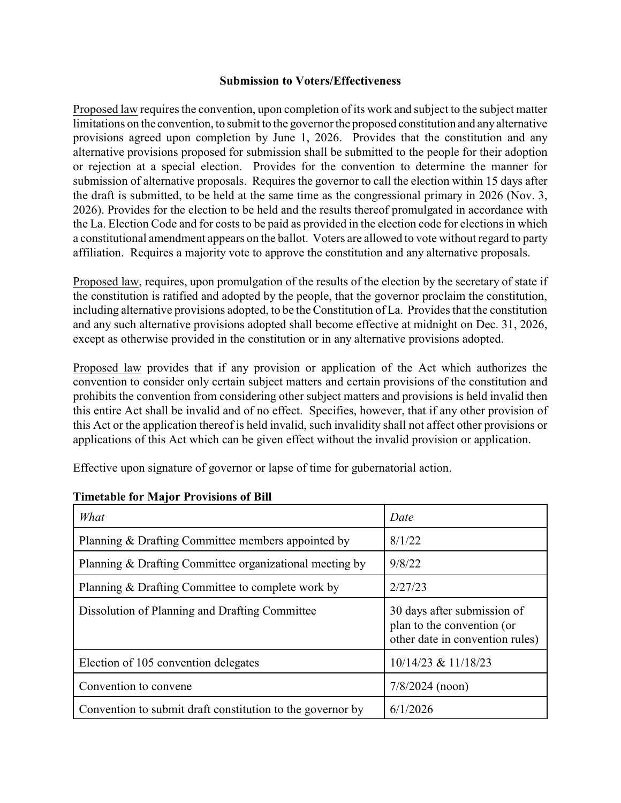#### **Submission to Voters/Effectiveness**

Proposed law requires the convention, upon completion of its work and subject to the subject matter limitations on the convention, to submit to the governor the proposed constitution and anyalternative provisions agreed upon completion by June 1, 2026. Provides that the constitution and any alternative provisions proposed for submission shall be submitted to the people for their adoption or rejection at a special election. Provides for the convention to determine the manner for submission of alternative proposals. Requires the governor to call the election within 15 days after the draft is submitted, to be held at the same time as the congressional primary in 2026 (Nov. 3, 2026). Provides for the election to be held and the results thereof promulgated in accordance with the La. Election Code and for costs to be paid as provided in the election code for elections in which a constitutional amendment appears on the ballot. Voters are allowed to vote without regard to party affiliation. Requires a majority vote to approve the constitution and any alternative proposals.

Proposed law, requires, upon promulgation of the results of the election by the secretary of state if the constitution is ratified and adopted by the people, that the governor proclaim the constitution, including alternative provisions adopted, to be the Constitution of La. Provides that the constitution and any such alternative provisions adopted shall become effective at midnight on Dec. 31, 2026, except as otherwise provided in the constitution or in any alternative provisions adopted.

Proposed law provides that if any provision or application of the Act which authorizes the convention to consider only certain subject matters and certain provisions of the constitution and prohibits the convention from considering other subject matters and provisions is held invalid then this entire Act shall be invalid and of no effect. Specifies, however, that if any other provision of this Act or the application thereof is held invalid, such invalidity shall not affect other provisions or applications of this Act which can be given effect without the invalid provision or application.

Effective upon signature of governor or lapse of time for gubernatorial action.

| What                                                       | Date                                                                                         |
|------------------------------------------------------------|----------------------------------------------------------------------------------------------|
| Planning & Drafting Committee members appointed by         | 8/1/22                                                                                       |
| Planning & Drafting Committee organizational meeting by    | 9/8/22                                                                                       |
| Planning & Drafting Committee to complete work by          | 2/27/23                                                                                      |
| Dissolution of Planning and Drafting Committee             | 30 days after submission of<br>plan to the convention (or<br>other date in convention rules) |
| Election of 105 convention delegates                       | 10/14/23 & 11/18/23                                                                          |
| Convention to convene.                                     | $7/8/2024$ (noon)                                                                            |
| Convention to submit draft constitution to the governor by | 6/1/2026                                                                                     |

### **Timetable for Major Provisions of Bill**